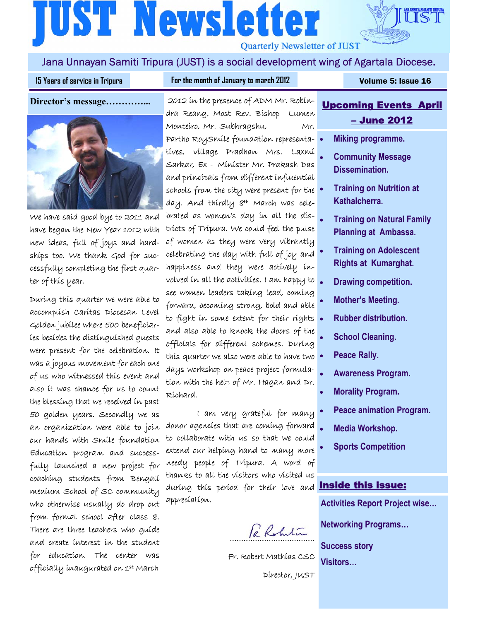# **[UST Newsletter Quarterly Newsletter of JUST**



15 Years of service in Tripura **Property Constructs For the month of January to march 2012 <b>Property Colume 5: Issue 16** 

IST

**Director's message…………...** 



We have said good bye to 2011 and have began the New Year 1012 with new ideas, full of joys and hardships too. We thank God for successfully completing the first quarter of this year.

During this quarter we were able to accomplish Caritas Diocesan Level Golden jubilee where 500 beneficiaries besides the distinguished guests were present for the celebration. It was a joyous movement for each one of us who witnessed this event and also it was chance for us to count the blessing that we received in past 50 golden years. Secondly we as an organization were able to join our hands with Smile foundation Education program and successfully launched a new project for coaching students from Bengali medium School of SC community who otherwise usually do drop out from formal school after class 8. There are three teachers who guide and create interest in the student for education. The center was officially inaugurated on 1st March

 2012 in the presence of ADM Mr. Robindra Reang, Most Rev. Bishop Lumen Monteiro, Mr. Subhragshu, Mr. Partho RoySmile foundation representatives, village Pradhan Mrs. Laxmi Sarkar, Ex – Minister Mr. Prakash Das and principals from different influential schools from the city were present for the day. And thirdly 8th March was celebrated as women's day in all the districts of Tripura. We could feel the pulse of women as they were very vibrantly celebrating the day with full of joy and happiness and they were actively involved in all the activities. I am happy to see women leaders taking lead, coming forward, becoming strong, bold and able to fight in some extent for their rights. and also able to knock the doors of the officials for different schemes. During this quarter we also were able to have two  $\bullet$ days workshop on peace project formulation with the help of Mr. Hagan and Dr. Richard.

 I am very grateful for many donor agencies that are coming forward to collaborate with us so that we could extend our helping hand to many more needy people of Tripura. A word of thanks to all the visitors who visited us during this period for their love and appreciation.

Re Robertin

Fr. Robert Mathias CSC

Director, JUST

# Upcoming Events April – June 2012

- **Miking programme.**
- **Community Message Dissemination.**
- **Training on Nutrition at Kathalcherra.**
- **Training on Natural Family Planning at Ambassa.**
- **Training on Adolescent Rights at Kumarghat.**
- **Drawing competition.**
- **Mother's Meeting.**
- **Rubber distribution.**
- **School Cleaning.**
- **Peace Rally.**
- **Awareness Program.**
- **Morality Program.**
- **Peace animation Program.**
- **Media Workshop.**
- **Sports Competition**

#### Inside this issue:

**Activities Report Project wise…** 

**Networking Programs…** 

**Success story Visitors…**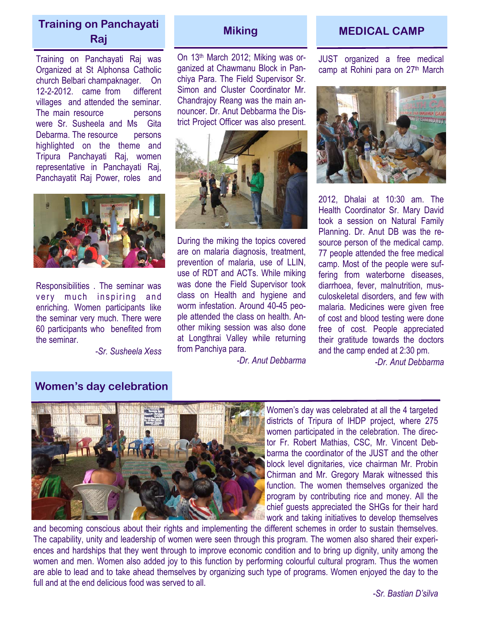# **Training on Panchayati Raj** *Miking* Miking **MEDICAL CAMP Raj**

Training on Panchayati Raj was Organized at St Alphonsa Catholic church Belbari champaknager. On 12-2-2012. came from different villages and attended the seminar. The main resource **persons** were Sr. Susheela and Ms Gita Debarma. The resource persons highlighted on the theme and Tripura Panchayati Raj, women representative in Panchayati Raj, Panchayatit Raj Power, roles and



Responsibilities . The seminar was very much inspiring and enriching. Women participants like the seminar very much. There were 60 participants who benefited from the seminar.

*-Sr. Susheela Xess* 

On 13th March 2012; Miking was organized at Chawmanu Block in Panchiya Para. The Field Supervisor Sr. Simon and Cluster Coordinator Mr. Chandrajoy Reang was the main announcer. Dr. Anut Debbarma the District Project Officer was also present.



During the miking the topics covered are on malaria diagnosis, treatment, prevention of malaria, use of LLIN, use of RDT and ACTs. While miking was done the Field Supervisor took class on Health and hygiene and worm infestation. Around 40-45 people attended the class on health. Another miking session was also done at Longthrai Valley while returning from Panchiya para.

*-Dr. Anut Debbarma*

JUST organized a free medical camp at Rohini para on 27th March



2012, Dhalai at 10:30 am. The Health Coordinator Sr. Mary David took a session on Natural Family Planning. Dr. Anut DB was the resource person of the medical camp. 77 people attended the free medical camp. Most of the people were suffering from waterborne diseases, diarrhoea, fever, malnutrition, musculoskeletal disorders, and few with malaria. Medicines were given free of cost and blood testing were done free of cost. People appreciated their gratitude towards the doctors and the camp ended at 2:30 pm.

*-Dr. Anut Debbarma*

### **Women's day celebration**



Women's day was celebrated at all the 4 targeted districts of Tripura of IHDP project, where 275 women participated in the celebration. The director Fr. Robert Mathias, CSC, Mr. Vincent Debbarma the coordinator of the JUST and the other block level dignitaries, vice chairman Mr. Probin Chirman and Mr. Gregory Marak witnessed this function. The women themselves organized the program by contributing rice and money. All the chief guests appreciated the SHGs for their hard work and taking initiatives to develop themselves

and becoming conscious about their rights and implementing the different schemes in order to sustain themselves. The capability, unity and leadership of women were seen through this program. The women also shared their experiences and hardships that they went through to improve economic condition and to bring up dignity, unity among the women and men. Women also added joy to this function by performing colourful cultural program. Thus the women are able to lead and to take ahead themselves by organizing such type of programs. Women enjoyed the day to the full and at the end delicious food was served to all.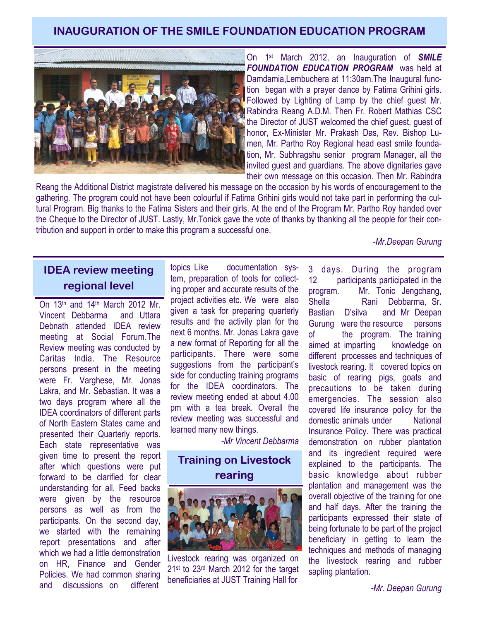## **INAUGURATION OF THE SMILE FOUNDATION EDUCATION PROGRAM**



On 1st March 2012, an Inauguration of *SMILE FOUNDATION EDUCATION PROGRAM* was held at Damdamia,Lembuchera at 11:30am.The Inaugural function began with a prayer dance by Fatima Grihini girls. Followed by Lighting of Lamp by the chief guest Mr. Rabindra Reang A.D.M. Then Fr. Robert Mathias CSC the Director of JUST welcomed the chief guest, guest of honor, Ex-Minister Mr. Prakash Das, Rev. Bishop Lumen, Mr. Partho Roy Regional head east smile foundation, Mr. Subhragshu senior program Manager, all the invited guest and guardians. The above dignitaries gave their own message on this occasion. Then Mr. Rabindra

Reang the Additional District magistrate delivered his message on the occasion by his words of encouragement to the gathering. The program could not have been colourful if Fatima Grihini girls would not take part in performing the cultural Program. Big thanks to the Fatima Sisters and their girls. At the end of the Program Mr. Partho Roy handed over the Cheque to the Director of JUST. Lastly, Mr.Tonick gave the vote of thanks by thanking all the people for their contribution and support in order to make this program a successful one.

*-Mr.Deepan Gurung* 

# **IDEA review meeting regional level**

On 13th and 14th March 2012 Mr. Vincent Debbarma and Uttara Debnath attended IDEA review meeting at Social Forum.The Review meeting was conducted by Caritas India. The Resource persons present in the meeting were Fr. Varghese, Mr. Jonas Lakra, and Mr. Sebastian. It was a two days program where all the IDEA coordinators of different parts of North Eastern States came and presented their Quarterly reports. Each state representative was given time to present the report after which questions were put forward to be clarified for clear understanding for all. Feed backs were given by the resource persons as well as from the participants. On the second day, we started with the remaining report presentations and after which we had a little demonstration on HR, Finance and Gender Policies. We had common sharing and discussions on different

topics Like documentation system, preparation of tools for collecting proper and accurate results of the project activities etc. We were also given a task for preparing quarterly results and the activity plan for the next 6 months. Mr. Jonas Lakra gave a new format of Reporting for all the participants. There were some suggestions from the participant's side for conducting training programs for the IDEA coordinators. The review meeting ended at about 4.00 pm with a tea break. Overall the review meeting was successful and learned many new things.

*-Mr Vincent Debbarma* 

## **Training on Livestock rearing**



Livestock rearing was organized on 21st to 23rd March 2012 for the target beneficiaries at JUST Training Hall for

3 days. During the program 12 participants participated in the program. Mr. Tonic Jengchang, Shella Rani Debbarma, Sr. Bastian D'silva and Mr Deepan Gurung were the resource persons of the program. The training aimed at imparting knowledge on different processes and techniques of livestock rearing. It covered topics on basic of rearing pigs, goats and precautions to be taken during emergencies. The session also covered life insurance policy for the domestic animals under National Insurance Policy. There was practical demonstration on rubber plantation and its ingredient required were explained to the participants. The basic knowledge about rubber plantation and management was the overall objective of the training for one and half days. After the training the participants expressed their state of being fortunate to be part of the project beneficiary in getting to learn the techniques and methods of managing the livestock rearing and rubber sapling plantation.